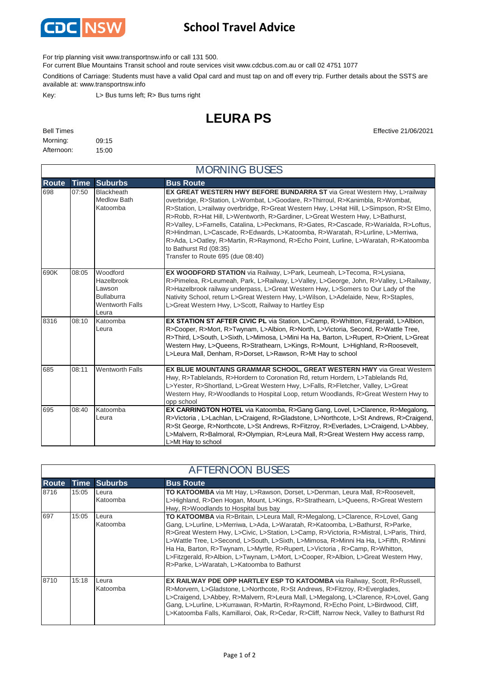

## **School Travel Advice**

For trip planning visit www.transportnsw.info or call 131 500.

For current Blue Mountains Transit school and route services visit www.cdcbus.com.au or call 02 4751 1077

Conditions of Carriage: Students must have a valid Opal card and must tap on and off every trip. Further details about the SSTS are available at: www.transportnsw.info

Key: L> Bus turns left; R> Bus turns right

## **LEURA PS**

| <b>Bell Times</b> |       |
|-------------------|-------|
| Morning:          | 09:15 |
| Afternoon:        | 15:00 |

**Effective 21/06/2021** 

| <b>MORNING BUSES</b> |             |                                                                                          |                                                                                                                                                                                                                                                                                                                                                                                                                                                                                                                                                                                                                                                                      |  |
|----------------------|-------------|------------------------------------------------------------------------------------------|----------------------------------------------------------------------------------------------------------------------------------------------------------------------------------------------------------------------------------------------------------------------------------------------------------------------------------------------------------------------------------------------------------------------------------------------------------------------------------------------------------------------------------------------------------------------------------------------------------------------------------------------------------------------|--|
| <b>Route</b>         | <b>Time</b> | <b>Suburbs</b>                                                                           | <b>Bus Route</b>                                                                                                                                                                                                                                                                                                                                                                                                                                                                                                                                                                                                                                                     |  |
| 698                  | 07:50       | <b>Blackheath</b><br><b>Medlow Bath</b><br>Katoomba                                      | EX GREAT WESTERN HWY BEFORE BUNDARRA ST via Great Western Hwy, L>railway<br>overbridge, R>Station, L>Wombat, L>Goodare, R>Thirroul, R>Kanimbla, R>Wombat,<br>R>Station, L>railway overbridge, R>Great Western Hwy, L>Hat Hill, L>Simpson, R>St Elmo,<br>R>Robb, R>Hat Hill, L>Wentworth, R>Gardiner, L>Great Western Hwy, L>Bathurst,<br>R>Valley, L>Farnells, Catalina, L>Peckmans, R>Gates, R>Cascade, R>Warialda, R>Loftus,<br>R>Hindman, L>Cascade, R>Edwards, L>Katoomba, R>Waratah, R>Lurline, L>Merriwa,<br>R>Ada, L>Oatley, R>Martin, R>Raymond, R>Echo Point, Lurline, L>Waratah, R>Katoomba<br>to Bathurst Rd (08:35)<br>Transfer to Route 695 (due 08:40) |  |
| 690K                 | 08:05       | Woodford<br>Hazelbrook<br>Lawson<br><b>Bullaburra</b><br><b>Wentworth Falls</b><br>Leura | EX WOODFORD STATION via Railway, L>Park, Leumeah, L>Tecoma, R>Lysiana,<br>R>Pimelea, R>Leumeah, Park, L>Railway, L>Valley, L>George, John, R>Valley, L>Railway,<br>R>Hazelbrook railway underpass, L>Great Western Hwy, L>Somers to Our Lady of the<br>Nativity School, return L>Great Western Hwy, L>Wilson, L>Adelaide, New, R>Staples,<br>L>Great Western Hwy, L>Scott, Railway to Hartley Esp                                                                                                                                                                                                                                                                    |  |
| 8316                 | 08:10       | Katoomba<br>Leura                                                                        | EX STATION ST AFTER CIVIC PL via Station, L>Camp, R>Whitton, Fitzgerald, L>Albion,<br>R>Cooper, R>Mort, R>Twynam, L>Albion, R>North, L>Victoria, Second, R>Wattle Tree,<br>R>Third, L>South, L>Sixth, L>Mimosa, L>Mini Ha Ha, Barton, L>Rupert, R>Orient, L>Great<br>Western Hwy, L>Queens, R>Strathearn, L>Kings, R>Mount, L>Highland, R>Roosevelt,<br>L>Leura Mall, Denham, R>Dorset, L>Rawson, R>Mt Hay to school                                                                                                                                                                                                                                                 |  |
| 685                  | 08:11       | <b>Wentworth Falls</b>                                                                   | EX BLUE MOUNTAINS GRAMMAR SCHOOL, GREAT WESTERN HWY via Great Western<br>Hwy, R>Tablelands, R>Hordern to Coronation Rd, return Hordern, L>Tablelands Rd,<br>L>Yester, R>Shortland, L>Great Western Hwy, L>Falls, R>Fletcher, Valley, L>Great<br>Western Hwy, R>Woodlands to Hospital Loop, return Woodlands, R>Great Western Hwy to<br>opp school                                                                                                                                                                                                                                                                                                                    |  |
| 695                  | 08:40       | Katoomba<br>Leura                                                                        | <b>EX CARRINGTON HOTEL</b> via Katoomba, R>Gang Gang, Lovel, L>Clarence, R>Megalong,<br>R>Victoria, L>Lachlan, L>Craigend, R>Gladstone, L>Northcote, L>St Andrews, R>Craigend,<br>R>St George, R>Northcote, L>St Andrews, R>Fitzroy, R>Everlades, L>Craigend, L>Abbey,<br>L>Malvern, R>Balmoral, R>Olympian, R>Leura Mall, R>Great Western Hwy access ramp,<br>L>Mt Hay to school                                                                                                                                                                                                                                                                                    |  |

| <b>AFTERNOON BUSES</b> |       |                   |                                                                                                                                                                                                                                                                                                                                                                                                                                                                                                                                                                               |
|------------------------|-------|-------------------|-------------------------------------------------------------------------------------------------------------------------------------------------------------------------------------------------------------------------------------------------------------------------------------------------------------------------------------------------------------------------------------------------------------------------------------------------------------------------------------------------------------------------------------------------------------------------------|
| <b>Route</b>           |       | Time Suburbs      | <b>Bus Route</b>                                                                                                                                                                                                                                                                                                                                                                                                                                                                                                                                                              |
| 8716                   | 15:05 | Leura<br>Katoomba | <b>TO KATOOMBA</b> via Mt Hay, L>Rawson, Dorset, L>Denman, Leura Mall, R>Roosevelt,<br>L>Highland, R>Den Hogan, Mount, L>Kings, R>Strathearn, L>Queens, R>Great Western<br>Hwy, R>Woodlands to Hospital bus bay                                                                                                                                                                                                                                                                                                                                                               |
| 697                    | 15:05 | Leura<br>Katoomba | <b>TO KATOOMBA</b> via R>Britain, L>Leura Mall, R>Megalong, L>Clarence, R>Lovel, Gang<br>Gang, L>Lurline, L>Merriwa, L>Ada, L>Waratah, R>Katoomba, L>Bathurst, R>Parke,<br>R>Great Western Hwy, L>Civic, L>Station, L>Camp, R>Victoria, R>Mistral, L>Paris, Third,<br>L>Wattle Tree, L>Second, L>South, L>Sixth, L>Mimosa, R>Minni Ha Ha, L>Fifth, R>Minni<br>Ha Ha, Barton, R>Twynam, L>Myrtle, R>Rupert, L>Victoria, R>Camp, R>Whitton,<br>L>Fitzgerald, R>Albion, L>Twynam, L>Mort, L>Cooper, R>Albion, L>Great Western Hwy,<br>R>Parke, L>Waratah, L>Katoomba to Bathurst |
| 8710                   | 15:18 | Leura<br>Katoomba | <b>EX RAILWAY PDE OPP HARTLEY ESP TO KATOOMBA</b> via Railway, Scott, R>Russell,<br>R>Morvern, L>Gladstone, L>Northcote, R>St Andrews, R>Fitzroy, R>Everglades,<br>L>Craigend, L>Abbey, R>Malvern, R>Leura Mall, L>Megalong, L>Clarence, R>Lovel, Gang<br>Gang, L>Lurline, L>Kurrawan, R>Martin, R>Raymond, R>Echo Point, L>Birdwood, Cliff,<br>L>Katoomba Falls, Kamillaroi, Oak, R>Cedar, R>Cliff, Narrow Neck, Valley to Bathurst Rd                                                                                                                                       |